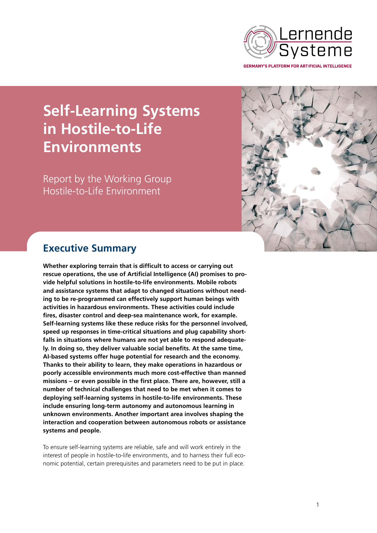

**Self-Learning Systems in Hostile-to-Life Environments**

Report by the Working Group Hostile-to-Life Environment



# **Executive Summary**

**Whether exploring terrain that is difficult to access or carrying out rescue operations, the use of Artificial Intelligence (AI) promises to provide helpful solutions in hostile-to-life environments. Mobile robots and assistance systems that adapt to changed situations without needing to be re-programmed can effectively support human beings with activities in hazardous environments. These activities could include fires, disaster control and deep-sea maintenance work, for example. Self-learning systems like these reduce risks for the personnel involved, speed up responses in time-critical situations and plug capability shortfalls in situations where humans are not yet able to respond adequately. In doing so, they deliver valuable social benefits. At the same time, AI-based systems offer huge potential for research and the economy. Thanks to their ability to learn, they make operations in hazardous or poorly accessible environments much more cost-effective than manned missions – or even possible in the first place. There are, however, still a number of technical challenges that need to be met when it comes to deploying self-learning systems in hostile-to-life environments. These include ensuring long-term autonomy and autonomous learning in unknown environments. Another important area involves shaping the interaction and cooperation between autonomous robots or assistance systems and people.** 

To ensure self-learning systems are reliable, safe and will work entirely in the interest of people in hostile-to-life environments, and to harness their full economic potential, certain prerequisites and parameters need to be put in place.